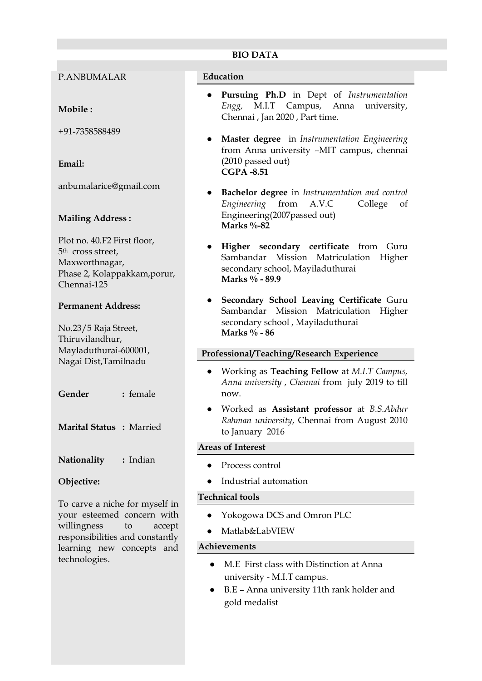### **BIO DATA**

P.ANBUMALAR

# **Mobile :**

+91-7358588489

# **Email:**

anbumalarice@gmail.com

# **Mailing Address :**

Plot no. 40.F2 First floor, 5th cross street, Maxworthnagar, Phase 2, Kolappakkam,porur, Chennai-125

### **Permanent Address:**

No.23/5 Raja Street, Thiruvilandhur, Mayladuthurai-600001, Nagai Dist,Tamilnadu

**Gender :** female

**Marital Status :** Married

**Nationality :** Indian

# **Objective:**

To carve a niche for myself in your esteemed concern with willingness to accept responsibilities and constantly learning new concepts and technologies.

#### **Education**

- **Pursuing Ph.D** in Dept of *Instrumentation Engg,* M.I.T Campus, Anna university, Chennai , Jan 2020 , Part time.
- **Master degree** in *Instrumentation Engineering* from Anna university –MIT campus, chennai (2010 passed out) **CGPA -8.51**
- **Bachelor degree** in *Instrumentation and control Engineering* from A.V.C College of Engineering(2007passed out) **Marks %-82**
- **Higher secondary certificate** from Guru Sambandar Mission Matriculation Higher secondary school, Mayiladuthurai **Marks % - 89.9**
- **Secondary School Leaving Certificate** Guru Sambandar Mission Matriculation Higher secondary school , Mayiladuthurai **Marks % - 86**

### **Professional/Teaching/Research Experience**

- Working as **Teaching Fellow** at *M.I.T Campus, Anna university , Chennai* from july 2019 to till now.
- Worked as **Assistant professor** at *B.S.Abdur Rahman university*, Chennai from August 2010 to January 2016

### **Areas of Interest**

- Process control
- Industrial automation

### **Technical tools**

- Yokogowa DCS and Omron PLC
- Matlab&LabVIEW

### **Achievements**

- M.E First class with Distinction at Anna university - M.I.T campus.
- B.E Anna university 11th rank holder and gold medalist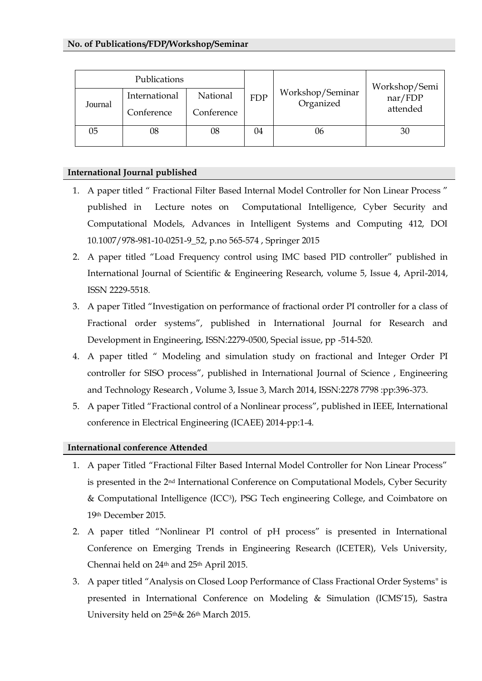| Publications |               |            |            |                               | Workshop/Semi       |
|--------------|---------------|------------|------------|-------------------------------|---------------------|
| Journal      | International | National   | <b>FDP</b> | Workshop/Seminar<br>Organized | nar/FDP<br>attended |
|              | Conference    | Conference |            |                               |                     |
| 05           | 08            | 08         | 04         | 06                            | 30                  |

# **International Journal published**

- 1. A paper titled " Fractional Filter Based Internal Model Controller for Non Linear Process " published in Lecture notes on Computational Intelligence, Cyber Security and Computational Models, Advances in Intelligent Systems and Computing 412, DOI 10.1007/978-981-10-0251-9\_52, p.no 565-574 , Springer 2015
- 2. A paper titled "Load Frequency control using IMC based PID controller" published in International Journal of Scientific & Engineering Research, volume 5, Issue 4, April-2014, ISSN 2229-5518.
- 3. A paper Titled "Investigation on performance of fractional order PI controller for a class of Fractional order systems", published in International Journal for Research and Development in Engineering, ISSN:2279-0500, Special issue, pp -514-520.
- 4. A paper titled " Modeling and simulation study on fractional and Integer Order PI controller for SISO process", published in International Journal of Science , Engineering and Technology Research , Volume 3, Issue 3, March 2014, ISSN:2278 7798 :pp:396-373.
- 5. A paper Titled "Fractional control of a Nonlinear process", published in IEEE, International conference in Electrical Engineering (ICAEE) 2014-pp:1-4.

### **International conference Attended**

- 1. A paper Titled "Fractional Filter Based Internal Model Controller for Non Linear Process" is presented in the 2nd International Conference on Computational Models, Cyber Security & Computational Intelligence (ICC3), PSG Tech engineering College, and Coimbatore on 19th December 2015.
- 2. A paper titled "Nonlinear PI control of pH process" is presented in International Conference on Emerging Trends in Engineering Research (ICETER), Vels University, Chennai held on 24th and 25th April 2015.
- 3. A paper titled "Analysis on Closed Loop Performance of Class Fractional Order Systems" is presented in International Conference on Modeling & Simulation (ICMS'15), Sastra University held on 25th& 26th March 2015.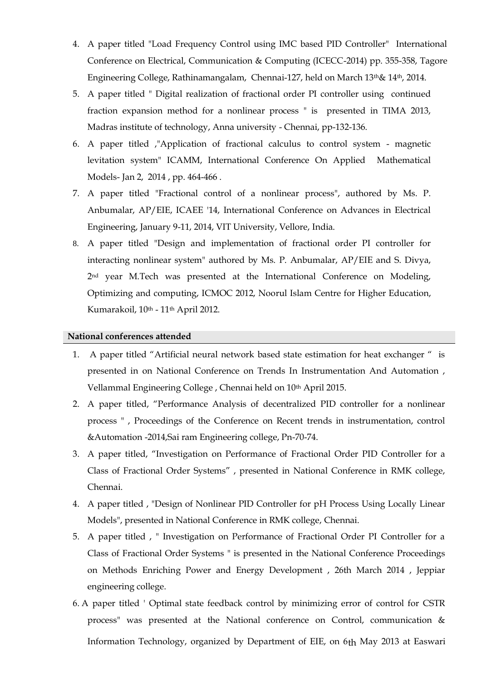- 4. A paper titled "Load Frequency Control using IMC based PID Controller" International Conference on Electrical, Communication & Computing (ICECC-2014) pp. 355-358, Tagore Engineering College, Rathinamangalam, Chennai-127, held on March 13th& 14th, 2014.
- 5. A paper titled " Digital realization of fractional order PI controller using continued fraction expansion method for a nonlinear process " is presented in TIMA 2013, Madras institute of technology, Anna university - Chennai, pp-132-136.
- 6. A paper titled ,"Application of fractional calculus to control system magnetic levitation system" ICAMM, International Conference On Applied Mathematical Models- Jan 2, 2014 , pp. 464-466 .
- 7. A paper titled "Fractional control of a nonlinear process", authored by Ms. P. Anbumalar, AP/EIE, ICAEE '14, International Conference on Advances in Electrical Engineering, January 9-11, 2014, VIT University, Vellore, India.
- 8. A paper titled "Design and implementation of fractional order PI controller for interacting nonlinear system" authored by Ms. P. Anbumalar, AP/EIE and S. Divya, 2<sup>nd</sup> year M.Tech was presented at the International Conference on Modeling, Optimizing and computing, ICMOC 2012, Noorul Islam Centre for Higher Education, Kumarakoil, 10<sup>th</sup> - 11<sup>th</sup> April 2012.

#### **National conferences attended**

- 1. A paper titled "Artificial neural network based state estimation for heat exchanger " is presented in on National Conference on Trends In Instrumentation And Automation , Vellammal Engineering College, Chennai held on 10<sup>th</sup> April 2015.
- 2. A paper titled, "Performance Analysis of decentralized PID controller for a nonlinear process " , Proceedings of the Conference on Recent trends in instrumentation, control &Automation -2014,Sai ram Engineering college, Pn-70-74.
- 3. A paper titled, "Investigation on Performance of Fractional Order PID Controller for a Class of Fractional Order Systems" , presented in National Conference in RMK college, Chennai.
- 4. A paper titled , "Design of Nonlinear PID Controller for pH Process Using Locally Linear Models", presented in National Conference in RMK college, Chennai.
- 5. A paper titled , " Investigation on Performance of Fractional Order PI Controller for a Class of Fractional Order Systems " is presented in the National Conference Proceedings on Methods Enriching Power and Energy Development , 26th March 2014 , Jeppiar engineering college.
- 6. A paper titled ' Optimal state feedback control by minimizing error of control for CSTR process" was presented at the National conference on Control, communication & Information Technology, organized by Department of EIE, on 6th May 2013 at Easwari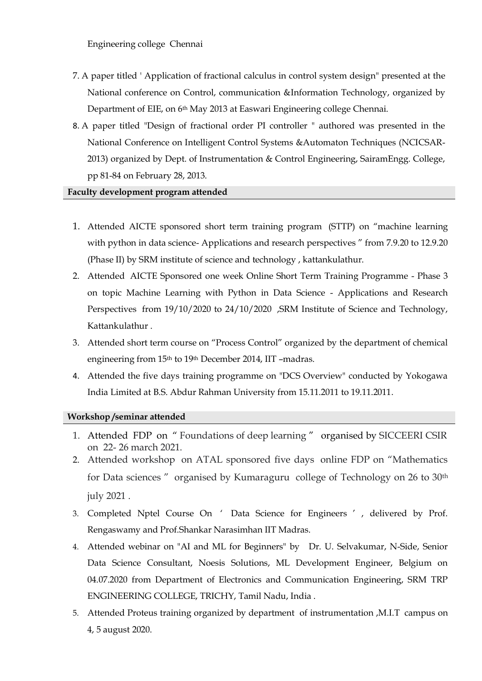Engineering college Chennai

- 7. A paper titled ' Application of fractional calculus in control system design" presented at the National conference on Control, communication &Information Technology, organized by Department of EIE, on 6th May 2013 at Easwari Engineering college Chennai.
- 8. A paper titled "Design of fractional order PI controller " authored was presented in the National Conference on Intelligent Control Systems &Automaton Techniques (NCICSAR-2013) organized by Dept. of Instrumentation & Control Engineering, SairamEngg. College, pp 81-84 on February 28, 2013.

### **Faculty development program attended**

- 1. Attended AICTE sponsored short term training program (STTP) on "machine learning with python in data science- Applications and research perspectives " from 7.9.20 to 12.9.20 (Phase II) by SRM institute of science and technology , kattankulathur.
- 2. Attended AICTE Sponsored one week Online Short Term Training Programme Phase 3 on topic Machine Learning with Python in Data Science - Applications and Research Perspectives from 19/10/2020 to 24/10/2020 ,SRM Institute of Science and Technology, Kattankulathur .
- 3. Attended short term course on "Process Control" organized by the department of chemical engineering from 15th to 19th December 2014, IIT –madras.
- 4. Attended the five days training programme on "DCS Overview" conducted by Yokogawa India Limited at B.S. Abdur Rahman University from 15.11.2011 to 19.11.2011.

### **Workshop /seminar attended**

- 1. Attended FDP on " Foundations of deep learning " organised by SICCEERI CSIR on 22- 26 march 2021.
- 2. Attended workshop on ATAL sponsored five days online FDP on "Mathematics for Data sciences " organised by Kumaraguru college of Technology on 26 to 30<sup>th</sup> july 2021 .
- 3. Completed Nptel Course On ' Data Science for Engineers ' , delivered by Prof. Rengaswamy and Prof.Shankar Narasimhan IIT Madras.
- 4. Attended webinar on "AI and ML for Beginners" by Dr. U. Selvakumar, N-Side, Senior Data Science Consultant, Noesis Solutions, ML Development Engineer, Belgium on 04.07.2020 from Department of Electronics and Communication Engineering, SRM TRP ENGINEERING COLLEGE, TRICHY, Tamil Nadu, India .
- 5. Attended Proteus training organized by department of instrumentation ,M.I.T campus on 4, 5 august 2020.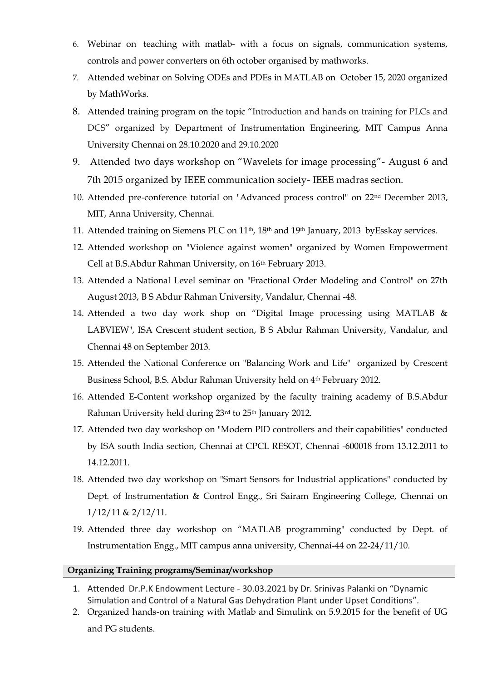- 6. Webinar on teaching with matlab- with a focus on signals, communication systems, controls and power converters on 6th october organised by mathworks.
- 7. Attended webinar on Solving ODEs and PDEs in MATLAB on October 15, 2020 organized by MathWorks.
- 8. Attended training program on the topic "Introduction and hands on training for PLCs and DCS" organized by Department of Instrumentation Engineering, MIT Campus Anna University Chennai on 28.10.2020 and 29.10.2020
- 9. Attended two days workshop on "Wavelets for image processing"- August 6 and 7th 2015 organized by IEEE communication society- IEEE madras section.
- 10. Attended pre-conference tutorial on "Advanced process control" on 22nd December 2013, MIT, Anna University, Chennai.
- 11. Attended training on Siemens PLC on 11<sup>th</sup>, 18<sup>th</sup> and 19<sup>th</sup> January, 2013 byEsskay services.
- 12. Attended workshop on "Violence against women" organized by Women Empowerment Cell at B.S.Abdur Rahman University, on 16th February 2013.
- 13. Attended a National Level seminar on "Fractional Order Modeling and Control" on 27th August 2013, B S Abdur Rahman University, Vandalur, Chennai -48.
- 14. Attended a two day work shop on "Digital Image processing using MATLAB & LABVIEW", ISA Crescent student section, B S Abdur Rahman University, Vandalur, and Chennai 48 on September 2013.
- 15. Attended the National Conference on "Balancing Work and Life" organized by Crescent Business School, B.S. Abdur Rahman University held on 4th February 2012.
- 16. Attended E-Content workshop organized by the faculty training academy of B.S.Abdur Rahman University held during 23rd to 25<sup>th</sup> January 2012.
- 17. Attended two day workshop on "Modern PID controllers and their capabilities" conducted by ISA south India section, Chennai at CPCL RESOT, Chennai -600018 from 13.12.2011 to 14.12.2011.
- 18. Attended two day workshop on "Smart Sensors for Industrial applications" conducted by Dept. of Instrumentation & Control Engg., Sri Sairam Engineering College, Chennai on 1/12/11 & 2/12/11.
- 19. Attended three day workshop on "MATLAB programming" conducted by Dept. of Instrumentation Engg., MIT campus anna university, Chennai-44 on 22-24/11/10.

### **Organizing Training programs/Seminar/workshop**

- 1. Attended Dr.P.K Endowment Lecture 30.03.2021 by Dr. Srinivas Palanki on "Dynamic Simulation and Control of a Natural Gas Dehydration Plant under Upset Conditions".
- 2. Organized hands-on training with Matlab and Simulink on 5.9.2015 for the benefit of UG and PG students.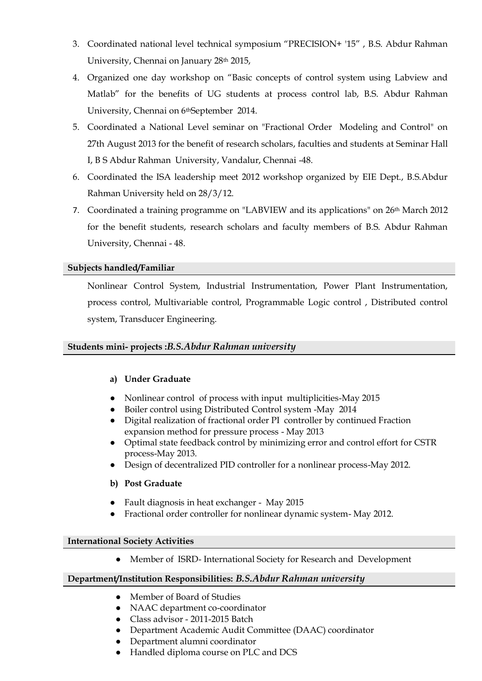- 3. Coordinated national level technical symposium "PRECISION+ '15" , B.S. Abdur Rahman University, Chennai on January 28th 2015,
- 4. Organized one day workshop on "Basic concepts of control system using Labview and Matlab" for the benefits of UG students at process control lab, B.S. Abdur Rahman University, Chennai on 6<sup>th</sup>September 2014.
- 5. Coordinated a National Level seminar on "Fractional Order Modeling and Control" on 27th August 2013 for the benefit of research scholars, faculties and students at Seminar Hall I, B S Abdur Rahman University, Vandalur, Chennai -48.
- 6. Coordinated the ISA leadership meet 2012 workshop organized by EIE Dept., B.S.Abdur Rahman University held on 28/3/12.
- 7. Coordinated a training programme on "LABVIEW and its applications" on  $26<sup>th</sup>$  March 2012 for the benefit students, research scholars and faculty members of B.S. Abdur Rahman University, Chennai - 48.

# **Subjects handled/Familiar**

Nonlinear Control System, Industrial Instrumentation, Power Plant Instrumentation, process control, Multivariable control, Programmable Logic control , Distributed control system, Transducer Engineering.

### **Students mini- projects :***B.S.Abdur Rahman university*

### **a) Under Graduate**

- Nonlinear control of process with input multiplicities-May 2015
- Boiler control using Distributed Control system -May 2014
- Digital realization of fractional order PI controller by continued Fraction expansion method for pressure process - May 2013
- Optimal state feedback control by minimizing error and control effort for CSTR process-May 2013.
- Design of decentralized PID controller for a nonlinear process-May 2012.

### **b) Post Graduate**

- Fault diagnosis in heat exchanger May 2015
- Fractional order controller for nonlinear dynamic system- May 2012.

### **International Society Activities**

● Member of ISRD- International Society for Research and Development

### **Department/Institution Responsibilities:** *B.S.Abdur Rahman university*

- Member of Board of Studies
- NAAC department co-coordinator
- Class advisor 2011-2015 Batch
- Department Academic Audit Committee (DAAC) coordinator
- Department alumni coordinator
- Handled diploma course on PLC and DCS